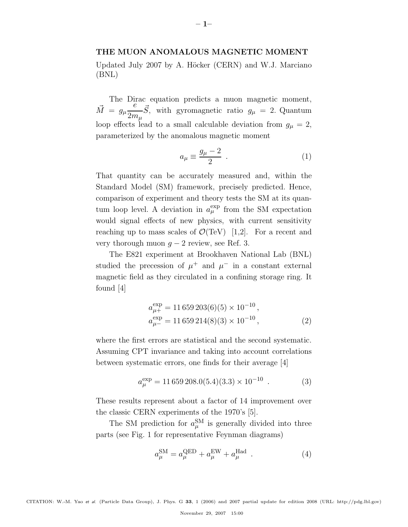## **THE MUON ANOMALOUS MAGNETIC MOMENT**

Updated July 2007 by A. Höcker (CERN) and W.J. Marciano (BNL)

The Dirac equation predicts a muon magnetic moment,  $\vec{M} = g_{\mu} \frac{e}{\delta}$  $2m_\mu$  $\vec{S}$ , with gyromagnetic ratio  $g_{\mu} = 2$ . Quantum loop effects lead to a small calculable deviation from  $g_{\mu} = 2$ , parameterized by the anomalous magnetic moment

$$
a_{\mu} \equiv \frac{g_{\mu} - 2}{2} \tag{1}
$$

That quantity can be accurately measured and, within the Standard Model (SM) framework, precisely predicted. Hence, comparison of experiment and theory tests the SM at its quantum loop level. A deviation in  $a_{\mu}^{\exp}$  from the SM expectation would signal effects of new physics, with current sensitivity reaching up to mass scales of  $\mathcal{O}(\text{TeV})$  [1,2]. For a recent and very thorough muon  $q - 2$  review, see Ref. 3.

The E821 experiment at Brookhaven National Lab (BNL) studied the precession of  $\mu^+$  and  $\mu^-$  in a constant external magnetic field as they circulated in a confining storage ring. It found [4]

$$
a_{\mu+}^{\exp} = 11\,659\,203(6)(5) \times 10^{-10},
$$
  
\n
$$
a_{\mu-}^{\exp} = 11\,659\,214(8)(3) \times 10^{-10},
$$
\n(2)

where the first errors are statistical and the second systematic. Assuming CPT invariance and taking into account correlations between systematic errors, one finds for their average [4]

$$
a_{\mu}^{\exp} = 11\,659\,208.0(5.4)(3.3) \times 10^{-10} \tag{3}
$$

These results represent about a factor of 14 improvement over the classic CERN experiments of the 1970's [5].

The SM prediction for  $a_{\mu}^{\text{SM}}$  is generally divided into three parts (see Fig. 1 for representative Feynman diagrams)

$$
a_{\mu}^{\text{SM}} = a_{\mu}^{\text{QED}} + a_{\mu}^{\text{EW}} + a_{\mu}^{\text{Had}} \tag{4}
$$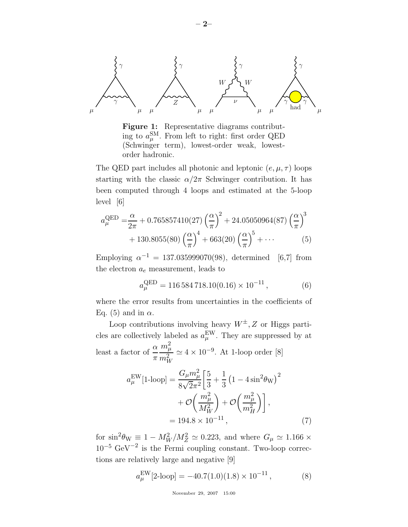



The QED part includes all photonic and leptonic  $(e, \mu, \tau)$  loops starting with the classic  $\alpha/2\pi$  Schwinger contribution. It has been computed through 4 loops and estimated at the 5-loop level [6]

$$
a_{\mu}^{\text{QED}} = \frac{\alpha}{2\pi} + 0.765857410(27) \left(\frac{\alpha}{\pi}\right)^2 + 24.05050964(87) \left(\frac{\alpha}{\pi}\right)^3 + 130.8055(80) \left(\frac{\alpha}{\pi}\right)^4 + 663(20) \left(\frac{\alpha}{\pi}\right)^5 + \cdots
$$
 (5)

Employing  $\alpha^{-1} = 137.035999070(98)$ , determined [6,7] from the electron  $a_e$  measurement, leads to

$$
a_{\mu}^{\text{QED}} = 116\,584\,718.10(0.16) \times 10^{-11},\tag{6}
$$

where the error results from uncertainties in the coefficients of Eq. (5) and in  $\alpha$ .

Loop contributions involving heavy  $W^{\pm}$ , Z or Higgs particles are collectively labeled as  $a_{\mu}^{\text{EW}}$ . They are suppressed by at least a factor of  $\frac{\alpha}{ }$  $\pi$  $m_\mu^2$  $\frac{m_{\mu}}{m_W^2} \simeq 4 \times 10^{-9}$ . At 1-loop order [8]

$$
a_{\mu}^{\text{EW}}[1\text{-loop}] = \frac{G_{\mu}m_{\mu}^{2}}{8\sqrt{2}\pi^{2}} \left[\frac{5}{3} + \frac{1}{3}\left(1 - 4\sin^{2}\theta_{\text{W}}\right)^{2} + \mathcal{O}\left(\frac{m_{\mu}^{2}}{M_{W}^{2}}\right) + \mathcal{O}\left(\frac{m_{\mu}^{2}}{m_{H}^{2}}\right)\right],
$$
  
= 194.8 × 10<sup>-11</sup>, (7)

for  $\sin^2 \theta_W \equiv 1 - M_W^2/M_Z^2 \simeq 0.223$ , and where  $G_\mu \simeq 1.166 \times$  $10^{-5}$  GeV<sup>-2</sup> is the Fermi coupling constant. Two-loop corrections are relatively large and negative [9]

$$
a_{\mu}^{\text{EW}}[2\text{-loop}] = -40.7(1.0)(1.8) \times 10^{-11},\tag{8}
$$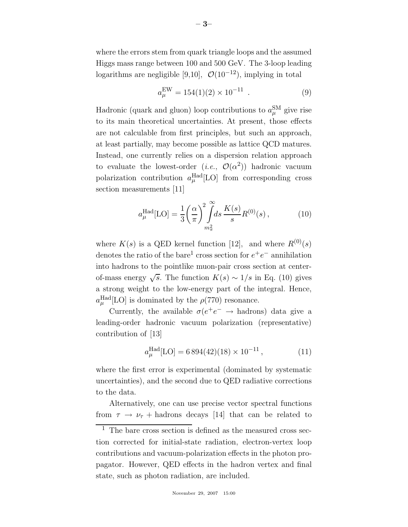where the errors stem from quark triangle loops and the assumed Higgs mass range between 100 and 500 GeV. The 3-loop leading logarithms are negligible [9,10],  $\mathcal{O}(10^{-12})$ , implying in total

$$
a_{\mu}^{\text{EW}} = 154(1)(2) \times 10^{-11} . \tag{9}
$$

Hadronic (quark and gluon) loop contributions to  $a_{\mu}^{\text{SM}}$  give rise to its main theoretical uncertainties. At present, those effects are not calculable from first principles, but such an approach, at least partially, may become possible as lattice QCD matures. Instead, one currently relies on a dispersion relation approach to evaluate the lowest-order  $(i.e., \mathcal{O}(\alpha^2))$  hadronic vacuum polarization contribution  $a_{\mu}^{\text{Had}}[LO]$  from corresponding cross section measurements [11]

$$
a_{\mu}^{\text{Had}}[\text{LO}] = \frac{1}{3} \left(\frac{\alpha}{\pi}\right)^2 \int_{m_{\pi}^2}^{\infty} ds \, \frac{K(s)}{s} R^{(0)}(s) \,, \tag{10}
$$

where  $K(s)$  is a QED kernel function [12], and where  $R^{(0)}(s)$ denotes the ratio of the bare<sup>1</sup> cross section for  $e^+e^-$  annihilation into hadrons to the pointlike muon-pair cross section at centerof-mass energy  $\sqrt{s}$ . The function  $K(s) \sim 1/s$  in Eq. (10) gives a strong weight to the low-energy part of the integral. Hence,  $a_{\mu}^{\text{Had}}$ [LO] is dominated by the  $\rho(770)$  resonance.

Currently, the available  $\sigma(e^+e^- \rightarrow \text{hadrons})$  data give a leading-order hadronic vacuum polarization (representative) contribution of [13]

$$
a_{\mu}^{\text{Had}}[\text{LO}] = 6\,894(42)(18) \times 10^{-11} \,, \tag{11}
$$

where the first error is experimental (dominated by systematic uncertainties), and the second due to QED radiative corrections to the data.

Alternatively, one can use precise vector spectral functions from  $\tau \to \nu_{\tau}$  + hadrons decays [14] that can be related to

 $\frac{1}{1}$  The bare cross section is defined as the measured cross section corrected for initial-state radiation, electron-vertex loop contributions and vacuum-polarization effects in the photon propagator. However, QED effects in the hadron vertex and final state, such as photon radiation, are included.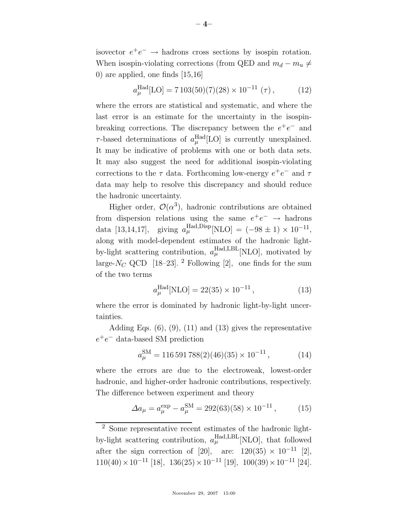isovector  $e^+e^- \rightarrow$  hadrons cross sections by isospin rotation. When isospin-violating corrections (from QED and  $m_d - m_u \neq$ 0) are applied, one finds  $[15,16]$ 

$$
a_{\mu}^{\text{Had}}[\text{LO}] = 7103(50)(7)(28) \times 10^{-11} (\tau) , \qquad (12)
$$

where the errors are statistical and systematic, and where the last error is an estimate for the uncertainty in the isospinbreaking corrections. The discrepancy between the  $e^+e^-$  and  $\tau$ -based determinations of  $a_{\mu}^{\text{Had}}[LO]$  is currently unexplained. It may be indicative of problems with one or both data sets. It may also suggest the need for additional isospin-violating corrections to the  $\tau$  data. Forthcoming low-energy  $e^+e^-$  and  $\tau$ data may help to resolve this discrepancy and should reduce the hadronic uncertainty.

Higher order,  $\mathcal{O}(\alpha^3)$ , hadronic contributions are obtained from dispersion relations using the same  $e^+e^- \rightarrow$  hadrons data [13,14,17], giving  $a_{\mu}^{\text{Had},\text{Disp}}[\text{NLO}] = (-98 \pm 1) \times 10^{-11}$ , along with model-dependent estimates of the hadronic lightby-light scattering contribution,  $a_{\mu}^{\text{Had},\text{LBL}}$  [NLO], motivated by large- $N_C$  QCD [18–23]. <sup>2</sup> Following [2], one finds for the sum of the two terms

$$
a_{\mu}^{\text{Had}}[\text{NLO}] = 22(35) \times 10^{-11},\tag{13}
$$

where the error is dominated by hadronic light-by-light uncertainties.

Adding Eqs.  $(6)$ ,  $(9)$ ,  $(11)$  and  $(13)$  gives the representative  $e^+e^-$  data-based SM prediction

$$
a_{\mu}^{\rm SM} = 116\,591\,788(2)(46)(35) \times 10^{-11}\,,\tag{14}
$$

where the errors are due to the electroweak, lowest-order hadronic, and higher-order hadronic contributions, respectively. The difference between experiment and theory

$$
\Delta a_{\mu} = a_{\mu}^{\exp} - a_{\mu}^{\rm SM} = 292(63)(58) \times 10^{-11}, \quad (15)
$$

<sup>2</sup> Some representative recent estimates of the hadronic lightby-light scattering contribution,  $a_{\mu}^{\text{Had},\text{LBL}}$  [NLO], that followed after the sign correction of [20], are:  $120(35) \times 10^{-11}$  [2],  $110(40)\times10^{-11}$  [18],  $136(25)\times10^{-11}$  [19],  $100(39)\times10^{-11}$  [24].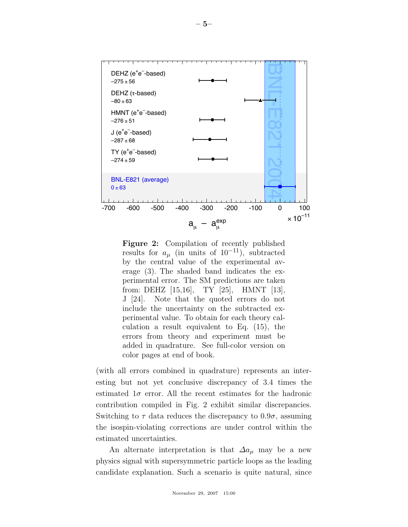

**Figure 2:** Compilation of recently published results for  $a_{\mu}$  (in units of 10<sup>-11</sup>), subtracted by the central value of the experimental average (3). The shaded band indicates the experimental error. The SM predictions are taken from: DEHZ [15,16], TY [25], HMNT [13], J [24]. Note that the quoted errors do not include the uncertainty on the subtracted experimental value. To obtain for each theory calculation a result equivalent to Eq. (15), the errors from theory and experiment must be added in quadrature. See full-color version on color pages at end of book.

(with all errors combined in quadrature) represents an interesting but not yet conclusive discrepancy of 3.4 times the estimated  $1\sigma$  error. All the recent estimates for the hadronic contribution compiled in Fig. 2 exhibit similar discrepancies. Switching to  $\tau$  data reduces the discrepancy to  $0.9\sigma$ , assuming the isospin-violating corrections are under control within the estimated uncertainties.

An alternate interpretation is that  $\Delta a_\mu$  may be a new physics signal with supersymmetric particle loops as the leading candidate explanation. Such a scenario is quite natural, since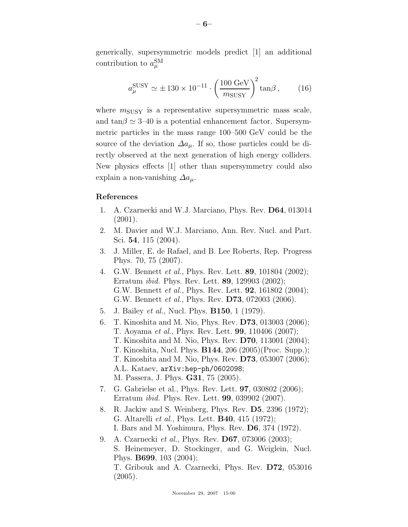generically, supersymmetric models predict [1] an additional contribution to  $a_{\mu}^{\text{SM}}$ 

$$
a_{\mu}^{\text{SUSY}} \simeq \pm 130 \times 10^{-11} \cdot \left(\frac{100 \text{ GeV}}{m_{\text{SUSY}}}\right)^2 \tan \beta, \quad (16)
$$

where  $m_{\text{SUSY}}$  is a representative supersymmetric mass scale, and  $tan\beta \simeq 3{\text -}40$  is a potential enhancement factor. Supersymmetric particles in the mass range 100–500 GeV could be the source of the deviation  $\Delta a_\mu$ . If so, those particles could be directly observed at the next generation of high energy colliders. New physics effects [1] other than supersymmetry could also explain a non-vanishing  $\Delta a_{\mu}$ .

## **References**

- 1. A. Czarnecki and W.J. Marciano, Phys. Rev. **D64**, 013014 (2001).
- 2. M. Davier and W.J. Marciano, Ann. Rev. Nucl. and Part. Sci. **54**, 115 (2004).
- 3. J. Miller, E. de Rafael, and B. Lee Roberts, Rep. Progress Phys. 70, 75 (2007).
- 4. G.W. Bennett *et al.*, Phys. Rev. Lett. **89**, 101804 (2002); Erratum *ibid.* Phys. Rev. Lett. **89**, 129903 (2002); G.W. Bennett *et al.*, Phys. Rev. Lett. **92**, 161802 (2004); G.W. Bennett *et al.*, Phys. Rev. **D73**, 072003 (2006).
- 5. J. Bailey *et al.*, Nucl. Phys. **B150**, 1 (1979).
- 6. T. Kinoshita and M. Nio, Phys. Rev. **D73**, 013003 (2006); T. Aoyama *et al.*, Phys. Rev. Lett. **99**, 110406 (2007); T. Kinoshita and M. Nio, Phys. Rev. **D70**, 113001 (2004); T. Kinoshita, Nucl. Phys. **B144**, 206 (2005)(Proc. Supp.); T. Kinoshita and M. Nio, Phys. Rev. **D73**, 053007 (2006); A.L. Kataev, arXiv:hep-ph/0602098; M. Passera, J. Phys. **G31**, 75 (2005).
- 7. G. Gabrielse et al., Phys. Rev. Lett. **97**, 030802 (2006); Erratum *ibid.* Phys. Rev. Lett. **99**, 039902 (2007).
- 8. R. Jackiw and S. Weinberg, Phys. Rev. **D5**, 2396 (1972); G. Altarelli *et al.*, Phys. Lett. **B40**, 415 (1972); I. Bars and M. Yoshimura, Phys. Rev. **D6**, 374 (1972).
- 9. A. Czarnecki *et al.*, Phys. Rev. **D67**, 073006 (2003); S. Heinemeyer, D. Stockinger, and G. Weiglein, Nucl. Phys. **B699**, 103 (2004); T. Gribouk and A. Czarnecki, Phys. Rev. **D72**, 053016 (2005).